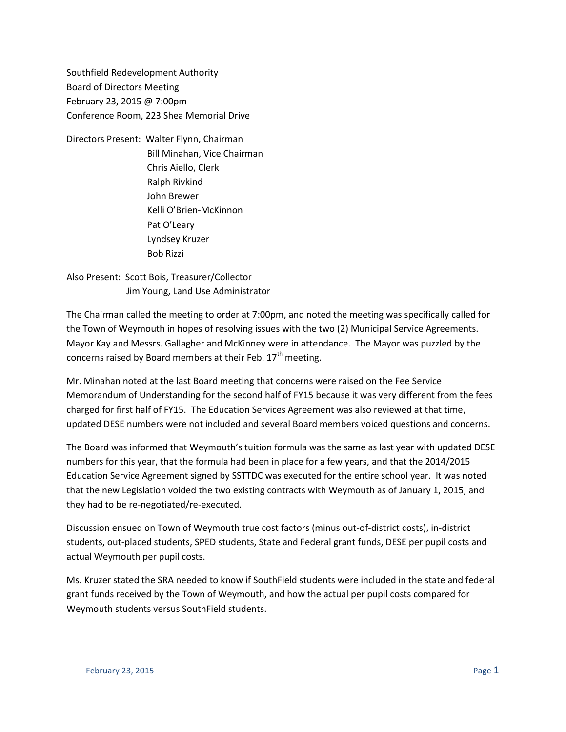Southfield Redevelopment Authority Board of Directors Meeting February 23, 2015 @ 7:00pm Conference Room, 223 Shea Memorial Drive

Directors Present: Walter Flynn, Chairman Bill Minahan, Vice Chairman Chris Aiello, Clerk Ralph Rivkind John Brewer Kelli O'Brien-McKinnon Pat O'Leary Lyndsey Kruzer Bob Rizzi

Also Present: Scott Bois, Treasurer/Collector Jim Young, Land Use Administrator

The Chairman called the meeting to order at 7:00pm, and noted the meeting was specifically called for the Town of Weymouth in hopes of resolving issues with the two (2) Municipal Service Agreements. Mayor Kay and Messrs. Gallagher and McKinney were in attendance. The Mayor was puzzled by the concerns raised by Board members at their Feb.  $17<sup>th</sup>$  meeting.

Mr. Minahan noted at the last Board meeting that concerns were raised on the Fee Service Memorandum of Understanding for the second half of FY15 because it was very different from the fees charged for first half of FY15. The Education Services Agreement was also reviewed at that time, updated DESE numbers were not included and several Board members voiced questions and concerns.

The Board was informed that Weymouth's tuition formula was the same as last year with updated DESE numbers for this year, that the formula had been in place for a few years, and that the 2014/2015 Education Service Agreement signed by SSTTDC was executed for the entire school year. It was noted that the new Legislation voided the two existing contracts with Weymouth as of January 1, 2015, and they had to be re-negotiated/re-executed.

Discussion ensued on Town of Weymouth true cost factors (minus out-of-district costs), in-district students, out-placed students, SPED students, State and Federal grant funds, DESE per pupil costs and actual Weymouth per pupil costs.

Ms. Kruzer stated the SRA needed to know if SouthField students were included in the state and federal grant funds received by the Town of Weymouth, and how the actual per pupil costs compared for Weymouth students versus SouthField students.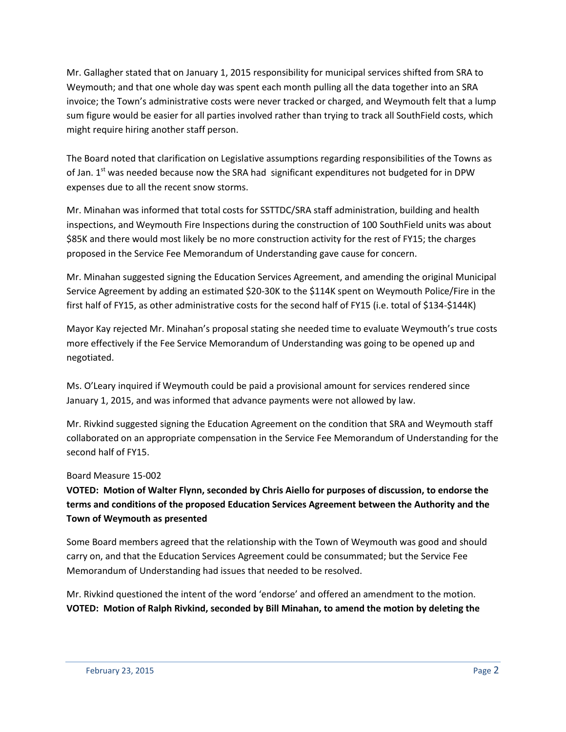Mr. Gallagher stated that on January 1, 2015 responsibility for municipal services shifted from SRA to Weymouth; and that one whole day was spent each month pulling all the data together into an SRA invoice; the Town's administrative costs were never tracked or charged, and Weymouth felt that a lump sum figure would be easier for all parties involved rather than trying to track all SouthField costs, which might require hiring another staff person.

The Board noted that clarification on Legislative assumptions regarding responsibilities of the Towns as of Jan.  $1<sup>st</sup>$  was needed because now the SRA had significant expenditures not budgeted for in DPW expenses due to all the recent snow storms.

Mr. Minahan was informed that total costs for SSTTDC/SRA staff administration, building and health inspections, and Weymouth Fire Inspections during the construction of 100 SouthField units was about \$85K and there would most likely be no more construction activity for the rest of FY15; the charges proposed in the Service Fee Memorandum of Understanding gave cause for concern.

Mr. Minahan suggested signing the Education Services Agreement, and amending the original Municipal Service Agreement by adding an estimated \$20-30K to the \$114K spent on Weymouth Police/Fire in the first half of FY15, as other administrative costs for the second half of FY15 (i.e. total of \$134-\$144K)

Mayor Kay rejected Mr. Minahan's proposal stating she needed time to evaluate Weymouth's true costs more effectively if the Fee Service Memorandum of Understanding was going to be opened up and negotiated.

Ms. O'Leary inquired if Weymouth could be paid a provisional amount for services rendered since January 1, 2015, and was informed that advance payments were not allowed by law.

Mr. Rivkind suggested signing the Education Agreement on the condition that SRA and Weymouth staff collaborated on an appropriate compensation in the Service Fee Memorandum of Understanding for the second half of FY15.

## Board Measure 15-002

**VOTED: Motion of Walter Flynn, seconded by Chris Aiello for purposes of discussion, to endorse the terms and conditions of the proposed Education Services Agreement between the Authority and the Town of Weymouth as presented**

Some Board members agreed that the relationship with the Town of Weymouth was good and should carry on, and that the Education Services Agreement could be consummated; but the Service Fee Memorandum of Understanding had issues that needed to be resolved.

Mr. Rivkind questioned the intent of the word 'endorse' and offered an amendment to the motion. **VOTED: Motion of Ralph Rivkind, seconded by Bill Minahan, to amend the motion by deleting the**